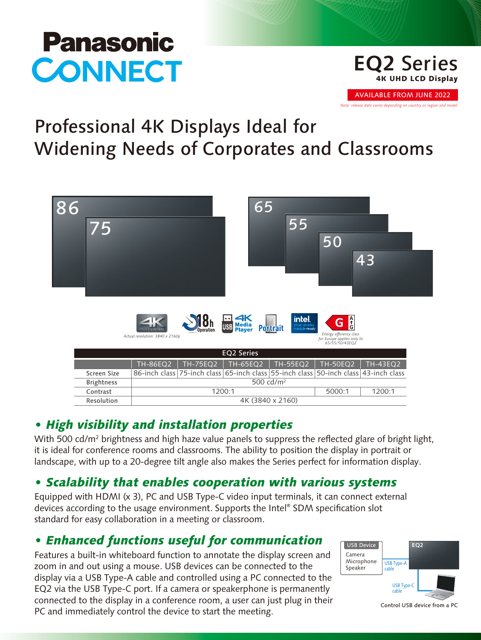# **Panasonic CONNECT**

#### **EQ2** Series 4K UHD LCD Display

AVAILABLE FROM JUNE 2022

*Note: release date varies depending on country or region and model*

## Professional 4K Displays Ideal for Widening Needs of Corporates and Classrooms

| 86<br>75 |                   |                                                                                     |                  |                                   | 65              | 55                                                                                                | 50                                                                             |          |  |  |  |  |  |  |
|----------|-------------------|-------------------------------------------------------------------------------------|------------------|-----------------------------------|-----------------|---------------------------------------------------------------------------------------------------|--------------------------------------------------------------------------------|----------|--|--|--|--|--|--|
|          |                   |                                                                                     |                  |                                   |                 |                                                                                                   |                                                                                | 43       |  |  |  |  |  |  |
|          |                   | PROFESSIONAL<br>Actual resolution: 3840 x 2160p                                     | <b>Operation</b> | <b>Tal</b><br>USB Media<br>Player | <b>Portrait</b> | $\begin{array}{c} \mbox{inel.} \\ \mbox{small} \\ \mbox{model} \\ \mbox{module read} \end{array}$ | G å<br>Energy efficiency class<br>for Europe applies only to<br>65/55/50/43EQ2 |          |  |  |  |  |  |  |
|          | <b>EQ2 Series</b> |                                                                                     |                  |                                   |                 |                                                                                                   |                                                                                |          |  |  |  |  |  |  |
|          |                   | <b>TH-86EQ2</b>                                                                     | <b>TH-75EQ2</b>  | <b>TH-65EQ2</b>                   |                 | <b>TH-55EQ2</b>                                                                                   | <b>TH-50EQ2</b>                                                                | TH-43EQ2 |  |  |  |  |  |  |
|          | Screen Size       | 86-inch class 75-inch class 65-inch class 55-inch class 50-inch class 43-inch class |                  |                                   |                 |                                                                                                   |                                                                                |          |  |  |  |  |  |  |
|          | <b>Brightness</b> | 500 cd/m <sup>2</sup>                                                               |                  |                                   |                 |                                                                                                   |                                                                                |          |  |  |  |  |  |  |
|          | Contrast          |                                                                                     | 1200:1           |                                   | 5000:1          | 1200:1                                                                                            |                                                                                |          |  |  |  |  |  |  |
|          | Resolution        | 4K (3840 x 2160)                                                                    |                  |                                   |                 |                                                                                                   |                                                                                |          |  |  |  |  |  |  |

### *• High visibility and installation properties*

With 500 cd/m² brightness and high haze value panels to suppress the reflected glare of bright light, it is ideal for conference rooms and classrooms. The ability to position the display in portrait or landscape, with up to a 20-degree tilt angle also makes the Series perfect for information display.

## *• Scalability that enables cooperation with various systems*

Equipped with HDMI (x 3), PC and USB Type-C video input terminals, it can connect external devices according to the usage environment. Supports the Intel® SDM specification slot standard for easy collaboration in a meeting or classroom.

## *• Enhanced functions useful for communication*

Features a built-in whiteboard function to annotate the display screen and zoom in and out using a mouse. USB devices can be connected to the display via a USB Type-A cable and controlled using a PC connected to the EQ2 via the USB Type-C port. If a camera or speakerphone is permanently connected to the display in a conference room, a user can just plug in their PC and immediately control the device to start the meeting.